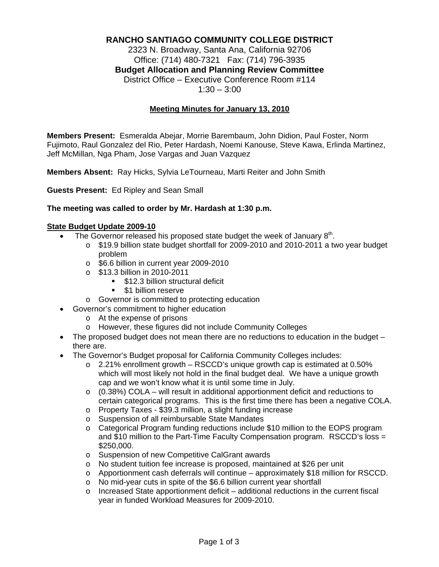# **RANCHO SANTIAGO COMMUNITY COLLEGE DISTRICT**

2323 N. Broadway, Santa Ana, California 92706 Office: (714) 480-7321 Fax: (714) 796-3935 **Budget Allocation and Planning Review Committee** District Office – Executive Conference Room #114  $1:30 - 3:00$ 

### **Meeting Minutes for January 13, 2010**

**Members Present:** Esmeralda Abejar, Morrie Barembaum, John Didion, Paul Foster, Norm Fujimoto, Raul Gonzalez del Rio, Peter Hardash, Noemi Kanouse, Steve Kawa, Erlinda Martinez, Jeff McMillan, Nga Pham, Jose Vargas and Juan Vazquez

**Members Absent:** Ray Hicks, Sylvia LeTourneau, Marti Reiter and John Smith

**Guests Present:** Ed Ripley and Sean Small

#### **The meeting was called to order by Mr. Hardash at 1:30 p.m.**

#### **State Budget Update 2009-10**

- The Governor released his proposed state budget the week of January  $8<sup>th</sup>$ .
	- o \$19.9 billion state budget shortfall for 2009-2010 and 2010-2011 a two year budget problem
	- o \$6.6 billion in current year 2009-2010
	- o \$13.3 billion in 2010-2011
		- **512.3 billion structural deficit**
		- **51 billion reserve**
	- o Governor is committed to protecting education
- Governor's commitment to higher education
	- o At the expense of prisons
	- o However, these figures did not include Community Colleges
- $\bullet$  The proposed budget does not mean there are no reductions to education in the budget  $$ there are.
- The Governor's Budget proposal for California Community Colleges includes:
	- $\circ$  2.21% enrollment growth RSCCD's unique growth cap is estimated at 0.50% which will most likely not hold in the final budget deal. We have a unique growth cap and we won't know what it is until some time in July.
	- o (0.38%) COLA will result in additional apportionment deficit and reductions to certain categorical programs. This is the first time there has been a negative COLA.
	- o Property Taxes \$39.3 million, a slight funding increase
	- o Suspension of all reimbursable State Mandates
	- o Categorical Program funding reductions include \$10 million to the EOPS program and \$10 million to the Part-Time Faculty Compensation program. RSCCD's loss = \$250,000.
	- o Suspension of new Competitive CalGrant awards
	- o No student tuition fee increase is proposed, maintained at \$26 per unit
	- $\circ$  Apportionment cash deferrals will continue approximately \$18 million for RSCCD.
	- o No mid-year cuts in spite of the \$6.6 billion current year shortfall
	- $\circ$  Increased State apportionment deficit additional reductions in the current fiscal year in funded Workload Measures for 2009-2010.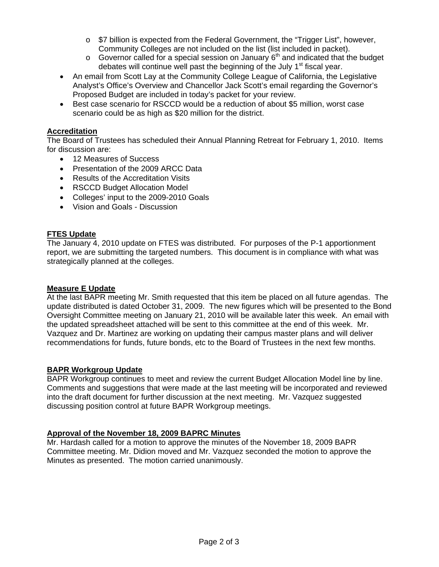- o \$7 billion is expected from the Federal Government, the "Trigger List", however, Community Colleges are not included on the list (list included in packet).
- $\circ$  Governor called for a special session on January  $6<sup>th</sup>$  and indicated that the budget debates will continue well past the beginning of the July  $1<sup>st</sup>$  fiscal year.
- An email from Scott Lay at the Community College League of California, the Legislative Analyst's Office's Overview and Chancellor Jack Scott's email regarding the Governor's Proposed Budget are included in today's packet for your review.
- Best case scenario for RSCCD would be a reduction of about \$5 million, worst case scenario could be as high as \$20 million for the district.

# **Accreditation**

The Board of Trustees has scheduled their Annual Planning Retreat for February 1, 2010. Items for discussion are:

- 12 Measures of Success
- Presentation of the 2009 ARCC Data
- Results of the Accreditation Visits
- RSCCD Budget Allocation Model
- Colleges' input to the 2009-2010 Goals
- Vision and Goals Discussion

## **FTES Update**

The January 4, 2010 update on FTES was distributed. For purposes of the P-1 apportionment report, we are submitting the targeted numbers. This document is in compliance with what was strategically planned at the colleges.

### **Measure E Update**

At the last BAPR meeting Mr. Smith requested that this item be placed on all future agendas. The update distributed is dated October 31, 2009. The new figures which will be presented to the Bond Oversight Committee meeting on January 21, 2010 will be available later this week. An email with the updated spreadsheet attached will be sent to this committee at the end of this week. Mr. Vazquez and Dr. Martinez are working on updating their campus master plans and will deliver recommendations for funds, future bonds, etc to the Board of Trustees in the next few months.

## **BAPR Workgroup Update**

BAPR Workgroup continues to meet and review the current Budget Allocation Model line by line. Comments and suggestions that were made at the last meeting will be incorporated and reviewed into the draft document for further discussion at the next meeting. Mr. Vazquez suggested discussing position control at future BAPR Workgroup meetings.

## **Approval of the November 18, 2009 BAPRC Minutes**

Mr. Hardash called for a motion to approve the minutes of the November 18, 2009 BAPR Committee meeting. Mr. Didion moved and Mr. Vazquez seconded the motion to approve the Minutes as presented. The motion carried unanimously.